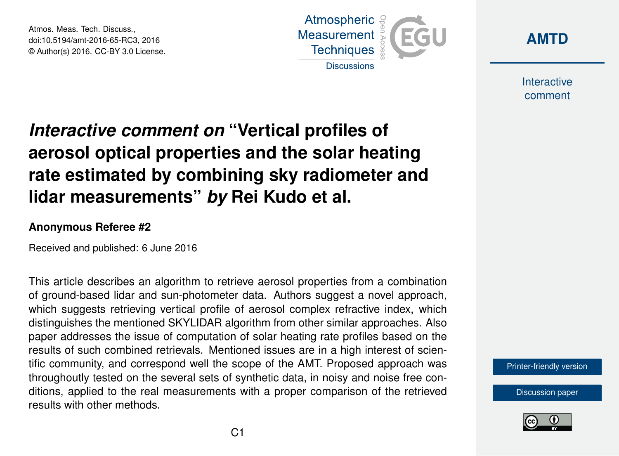Atmos. Meas. Tech. Discuss., doi:10.5194/amt-2016-65-RC3, 2016 © Author(s) 2016. CC-BY 3.0 License.





Interactive comment

## *Interactive comment on* **"Vertical profiles of aerosol optical properties and the solar heating rate estimated by combining sky radiometer and lidar measurements"** *by* **Rei Kudo et al.**

## **Anonymous Referee #2**

Received and published: 6 June 2016

This article describes an algorithm to retrieve aerosol properties from a combination of ground-based lidar and sun-photometer data. Authors suggest a novel approach, which suggests retrieving vertical profile of aerosol complex refractive index, which distinguishes the mentioned SKYLIDAR algorithm from other similar approaches. Also paper addresses the issue of computation of solar heating rate profiles based on the results of such combined retrievals. Mentioned issues are in a high interest of scientific community, and correspond well the scope of the AMT. Proposed approach was throughoutly tested on the several sets of synthetic data, in noisy and noise free conditions, applied to the real measurements with a proper comparison of the retrieved results with other methods.

[Printer-friendly version](http://www.atmos-meas-tech-discuss.net/amt-2016-65/amt-2016-65-RC3-print.pdf)

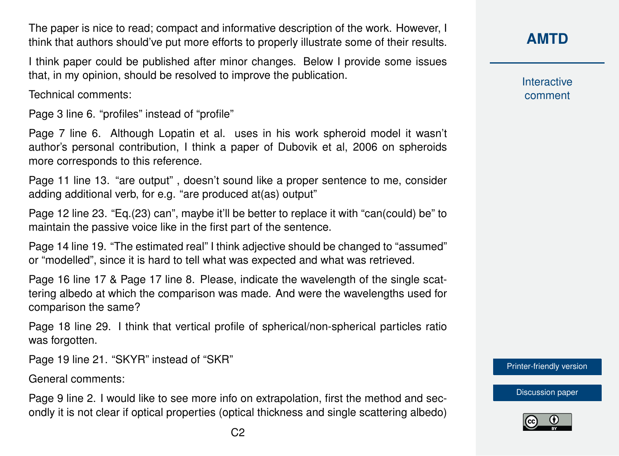The paper is nice to read; compact and informative description of the work. However, I think that authors should've put more efforts to properly illustrate some of their results.

I think paper could be published after minor changes. Below I provide some issues that, in my opinion, should be resolved to improve the publication.

Technical comments:

Page 3 line 6. "profiles" instead of "profile"

Page 7 line 6. Although Lopatin et al. uses in his work spheroid model it wasn't author's personal contribution, I think a paper of Dubovik et al, 2006 on spheroids more corresponds to this reference.

Page 11 line 13. "are output" , doesn't sound like a proper sentence to me, consider adding additional verb, for e.g. "are produced at(as) output"

Page 12 line 23. "Eq.(23) can", maybe it'll be better to replace it with "can(could) be" to maintain the passive voice like in the first part of the sentence.

Page 14 line 19. "The estimated real" I think adjective should be changed to "assumed" or "modelled", since it is hard to tell what was expected and what was retrieved.

Page 16 line 17 & Page 17 line 8. Please, indicate the wavelength of the single scattering albedo at which the comparison was made. And were the wavelengths used for comparison the same?

Page 18 line 29. I think that vertical profile of spherical/non-spherical particles ratio was forgotten.

Page 19 line 21. "SKYR" instead of "SKR"

General comments:

Page 9 line 2. I would like to see more info on extrapolation, first the method and secondly it is not clear if optical properties (optical thickness and single scattering albedo) **[AMTD](http://www.atmos-meas-tech-discuss.net/)**

Interactive comment

[Printer-friendly version](http://www.atmos-meas-tech-discuss.net/amt-2016-65/amt-2016-65-RC3-print.pdf)

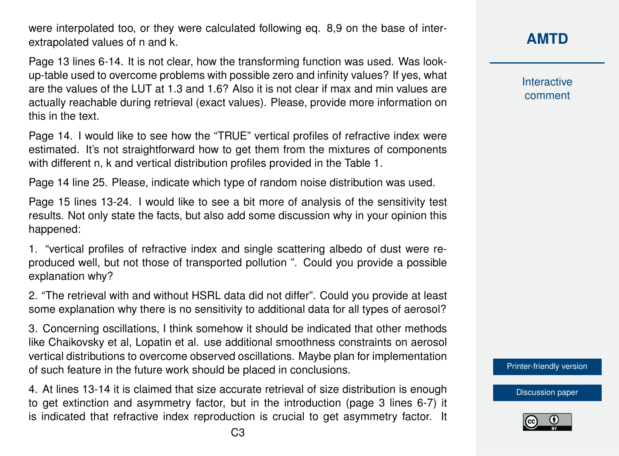were interpolated too, or they were calculated following eq. 8.9 on the base of interextrapolated values of n and k.

Page 13 lines 6-14. It is not clear, how the transforming function was used. Was lookup-table used to overcome problems with possible zero and infinity values? If yes, what are the values of the LUT at 1.3 and 1.6? Also it is not clear if max and min values are actually reachable during retrieval (exact values). Please, provide more information on this in the text.

Page 14. I would like to see how the "TRUE" vertical profiles of refractive index were estimated. It's not straightforward how to get them from the mixtures of components with different n, k and vertical distribution profiles provided in the Table 1.

Page 14 line 25. Please, indicate which type of random noise distribution was used.

Page 15 lines 13-24. I would like to see a bit more of analysis of the sensitivity test results. Not only state the facts, but also add some discussion why in your opinion this happened:

1. "vertical profiles of refractive index and single scattering albedo of dust were reproduced well, but not those of transported pollution ". Could you provide a possible explanation why?

2. "The retrieval with and without HSRL data did not differ". Could you provide at least some explanation why there is no sensitivity to additional data for all types of aerosol?

3. Concerning oscillations, I think somehow it should be indicated that other methods like Chaikovsky et al, Lopatin et al. use additional smoothness constraints on aerosol vertical distributions to overcome observed oscillations. Maybe plan for implementation of such feature in the future work should be placed in conclusions.

4. At lines 13-14 it is claimed that size accurate retrieval of size distribution is enough to get extinction and asymmetry factor, but in the introduction (page 3 lines 6-7) it is indicated that refractive index reproduction is crucial to get asymmetry factor. It

Interactive comment

[Printer-friendly version](http://www.atmos-meas-tech-discuss.net/amt-2016-65/amt-2016-65-RC3-print.pdf)

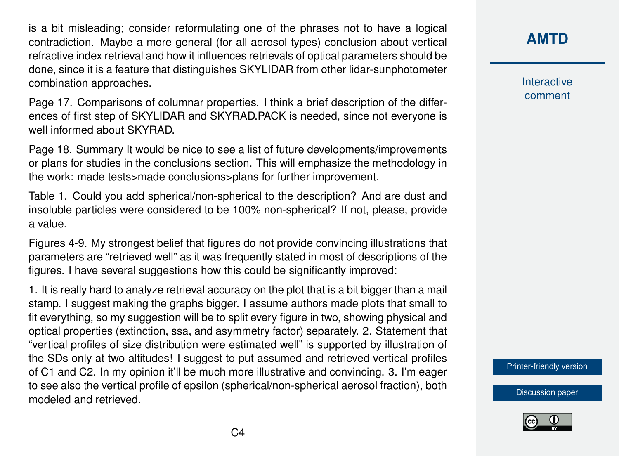is a bit misleading; consider reformulating one of the phrases not to have a logical contradiction. Maybe a more general (for all aerosol types) conclusion about vertical refractive index retrieval and how it influences retrievals of optical parameters should be done, since it is a feature that distinguishes SKYLIDAR from other lidar-sunphotometer combination approaches.

Page 17. Comparisons of columnar properties. I think a brief description of the differences of first step of SKYLIDAR and SKYRAD.PACK is needed, since not everyone is well informed about SKYRAD.

Page 18. Summary It would be nice to see a list of future developments/improvements or plans for studies in the conclusions section. This will emphasize the methodology in the work: made tests>made conclusions>plans for further improvement.

Table 1. Could you add spherical/non-spherical to the description? And are dust and insoluble particles were considered to be 100% non-spherical? If not, please, provide a value.

Figures 4-9. My strongest belief that figures do not provide convincing illustrations that parameters are "retrieved well" as it was frequently stated in most of descriptions of the figures. I have several suggestions how this could be significantly improved:

1. It is really hard to analyze retrieval accuracy on the plot that is a bit bigger than a mail stamp. I suggest making the graphs bigger. I assume authors made plots that small to fit everything, so my suggestion will be to split every figure in two, showing physical and optical properties (extinction, ssa, and asymmetry factor) separately. 2. Statement that "vertical profiles of size distribution were estimated well" is supported by illustration of the SDs only at two altitudes! I suggest to put assumed and retrieved vertical profiles of C1 and C2. In my opinion it'll be much more illustrative and convincing. 3. I'm eager to see also the vertical profile of epsilon (spherical/non-spherical aerosol fraction), both modeled and retrieved.

**[AMTD](http://www.atmos-meas-tech-discuss.net/)**

Interactive comment

[Printer-friendly version](http://www.atmos-meas-tech-discuss.net/amt-2016-65/amt-2016-65-RC3-print.pdf)